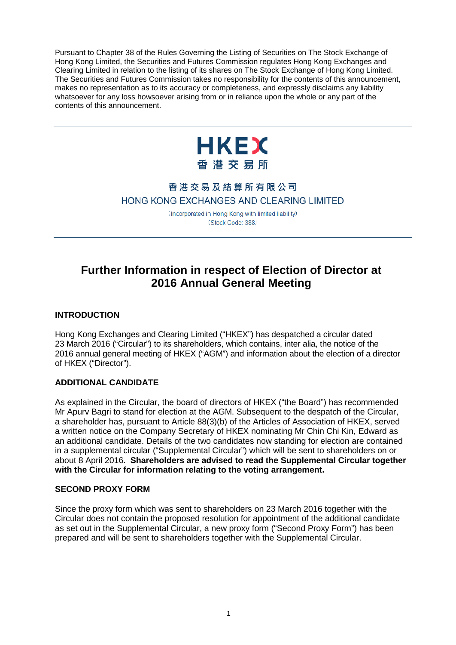Pursuant to Chapter 38 of the Rules Governing the Listing of Securities on The Stock Exchange of Hong Kong Limited, the Securities and Futures Commission regulates Hong Kong Exchanges and Clearing Limited in relation to the listing of its shares on The Stock Exchange of Hong Kong Limited. The Securities and Futures Commission takes no responsibility for the contents of this announcement, makes no representation as to its accuracy or completeness, and expressly disclaims any liability whatsoever for any loss howsoever arising from or in reliance upon the whole or any part of the contents of this announcement.



## 香港交易及結算所有限公司 HONG KONG EXCHANGES AND CLEARING LIMITED

(Incorporated in Hong Kong with limited liability) (Stock Code: 388)

# **Further Information in respect of Election of Director at 2016 Annual General Meeting**

## **INTRODUCTION**

Hong Kong Exchanges and Clearing Limited ("HKEX") has despatched a circular dated 23 March 2016 ("Circular") to its shareholders, which contains, inter alia, the notice of the 2016 annual general meeting of HKEX ("AGM") and information about the election of a director of HKEX ("Director").

### **ADDITIONAL CANDIDATE**

As explained in the Circular, the board of directors of HKEX ("the Board") has recommended Mr Apurv Bagri to stand for election at the AGM. Subsequent to the despatch of the Circular, a shareholder has, pursuant to Article 88(3)(b) of the Articles of Association of HKEX, served a written notice on the Company Secretary of HKEX nominating Mr Chin Chi Kin, Edward as an additional candidate. Details of the two candidates now standing for election are contained in a supplemental circular ("Supplemental Circular") which will be sent to shareholders on or about 8 April 2016. **Shareholders are advised to read the Supplemental Circular together with the Circular for information relating to the voting arrangement.**

### **SECOND PROXY FORM**

Since the proxy form which was sent to shareholders on 23 March 2016 together with the Circular does not contain the proposed resolution for appointment of the additional candidate as set out in the Supplemental Circular, a new proxy form ("Second Proxy Form") has been prepared and will be sent to shareholders together with the Supplemental Circular.